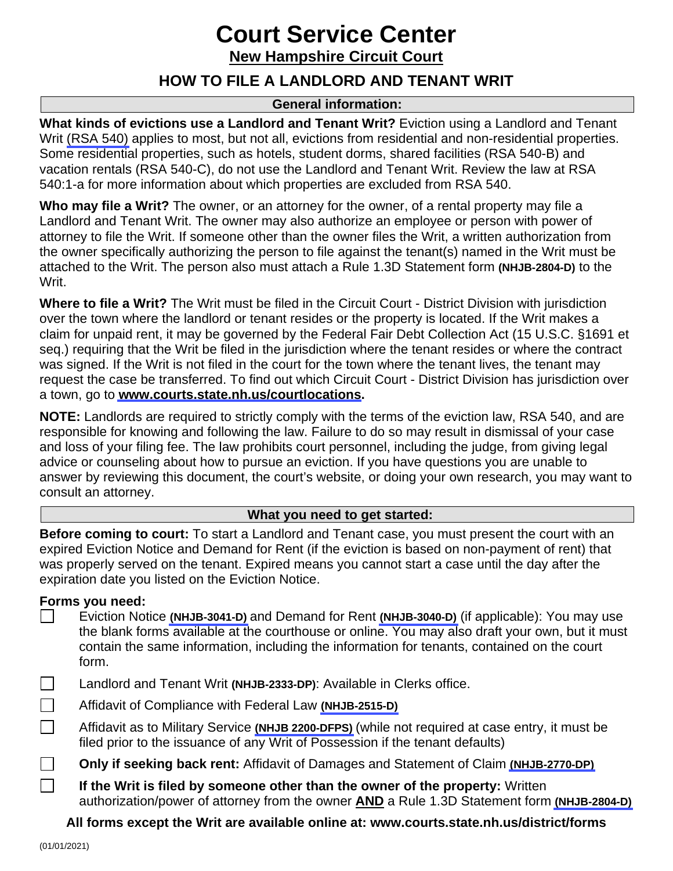# **Court Service Center**

**New Hampshire Circuit Court**

### **HOW TO FILE A LANDLORD AND TENANT WRIT**

### **General information:**

**What kinds of evictions use a Landlord and Tenant Writ?** Eviction using a Landlord and Tenant Writ [\(RSA 540\)](http://www.gencourt.state.nh.us/rsa/html/NHTOC/NHTOC-LV-540.htm) applies to most, but not all, evictions from residential and non-residential properties. Some residential properties, such as hotels, student dorms, shared facilities (RSA 540-B) and vacation rentals (RSA 540-C), do not use the Landlord and Tenant Writ. Review the law at RSA 540:1-a for more information about which properties are excluded from RSA 540.

**Who may file a Writ?** The owner, or an attorney for the owner, of a rental property may file a Landlord and Tenant Writ. The owner may also authorize an employee or person with power of attorney to file the Writ. If someone other than the owner files the Writ, a written authorization from the owner specifically authorizing the person to file against the tenant(s) named in the Writ must be attached to the Writ. The person also must attach a Rule 1.3D Statement form **(NHJB-2804-D)** to the Writ.

**Where to file a Writ?** The Writ must be filed in the Circuit Court - District Division with jurisdiction over the town where the landlord or tenant resides or the property is located. If the Writ makes a claim for unpaid rent, it may be governed by the Federal Fair Debt Collection Act (15 U.S.C. §1691 et seq.) requiring that the Writ be filed in the jurisdiction where the tenant resides or where the contract was signed. If the Writ is not filed in the court for the town where the tenant lives, the tenant may request the case be transferred. To find out which Circuit Court - District Division has jurisdiction over a town, go to **[www.courts.state.nh.us/courtlocations.](https://www.courts.state.nh.us/courtlocations/)**

**NOTE:** Landlords are required to strictly comply with the terms of the eviction law, RSA 540, and are responsible for knowing and following the law. Failure to do so may result in dismissal of your case and loss of your filing fee. The law prohibits court personnel, including the judge, from giving legal advice or counseling about how to pursue an eviction. If you have questions you are unable to answer by reviewing this document, the court's website, or doing your own research, you may want to consult an attorney.

### **What you need to get started:**

**Before coming to court:** To start a Landlord and Tenant case, you must present the court with an expired Eviction Notice and Demand for Rent (if the eviction is based on non-payment of rent) that was properly served on the tenant. Expired means you cannot start a case until the day after the expiration date you listed on the Eviction Notice.

### **Forms you need:**

- Eviction Notice **[\(NHJB-3041-D\)](http://www.courts.state.nh.us/forms/nhjb-3041-d.pdf)** and Demand for Rent **[\(NHJB-3040-D\)](http://www.courts.state.nh.us/forms/nhjb-3040-d.pdf)** (if applicable): You may use the blank forms available at the courthouse or online. You may also draft your own, but it must contain the same information, including the information for tenants, contained on the court form.
- Landlord and Tenant Writ **(NHJB-2333-DP)**: Available in Clerks office.
- Affidavit of Compliance with Federal Law **[\(NHJB-2515-D\)](https://www.courts.state.nh.us/forms/nhjb-2515-d.pdf)**
- Affidavit as to Military Service **[\(NHJB 2200-DFPS\)](http://www.courts.state.nh.us/forms/nhjb-2200-dfps.pdf)** (while not required at case entry, it must be filed prior to the issuance of any Writ of Possession if the tenant defaults)
- $\Box$ **Only if seeking back rent:** Affidavit of Damages and Statement of Claim **[\(NHJB-2770-DP\)](http://www.courts.state.nh.us/forms/nhjb-2770-dp.pdf)**
	- **If the Writ is filed by someone other than the owner of the property:** Written authorization/power of attorney from the owner **AND** a Rule 1.3D Statement form **[\(NHJB-2804-D\)](http://www.courts.state.nh.us/forms/nhjb-2804-d.pdf)**

**All forms except the Writ are available online at: www.courts.state.nh.us/district/forms** 

 $\Box$